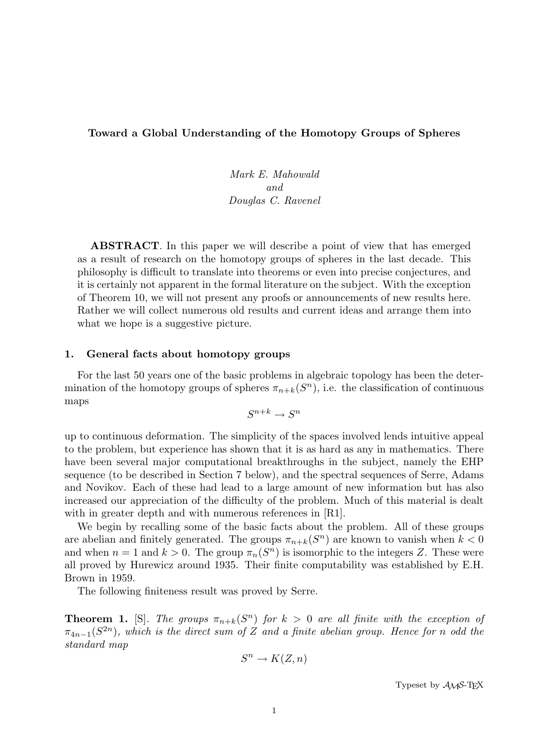# Toward a Global Understanding of the Homotopy Groups of Spheres

Mark E. Mahowald and Douglas C. Ravenel

ABSTRACT. In this paper we will describe a point of view that has emerged as a result of research on the homotopy groups of spheres in the last decade. This philosophy is difficult to translate into theorems or even into precise conjectures, and it is certainly not apparent in the formal literature on the subject. With the exception of Theorem 10, we will not present any proofs or announcements of new results here. Rather we will collect numerous old results and current ideas and arrange them into what we hope is a suggestive picture.

### 1. General facts about homotopy groups

For the last 50 years one of the basic problems in algebraic topology has been the determination of the homotopy groups of spheres  $\pi_{n+k}(S^n)$ , i.e. the classification of continuous maps

$$
S^{n+k} \to S^n
$$

up to continuous deformation. The simplicity of the spaces involved lends intuitive appeal to the problem, but experience has shown that it is as hard as any in mathematics. There have been several major computational breakthroughs in the subject, namely the EHP sequence (to be described in Section 7 below), and the spectral sequences of Serre, Adams and Novikov. Each of these had lead to a large amount of new information but has also increased our appreciation of the difficulty of the problem. Much of this material is dealt with in greater depth and with numerous references in [R1].

We begin by recalling some of the basic facts about the problem. All of these groups are abelian and finitely generated. The groups  $\pi_{n+k}(S^n)$  are known to vanish when  $k < 0$ and when  $n = 1$  and  $k > 0$ . The group  $\pi_n(S^n)$  is isomorphic to the integers Z. These were all proved by Hurewicz around 1935. Their finite computability was established by E.H. Brown in 1959.

The following finiteness result was proved by Serre.

**Theorem 1.** [S]. The groups  $\pi_{n+k}(S^n)$  for  $k > 0$  are all finite with the exception of  $\pi_{4n-1}(S^{2n})$ , which is the direct sum of Z and a finite abelian group. Hence for n odd the standard map

$$
S^n \to K(Z, n)
$$

Typeset by  $A_{\mathcal{M}}S$ -TEX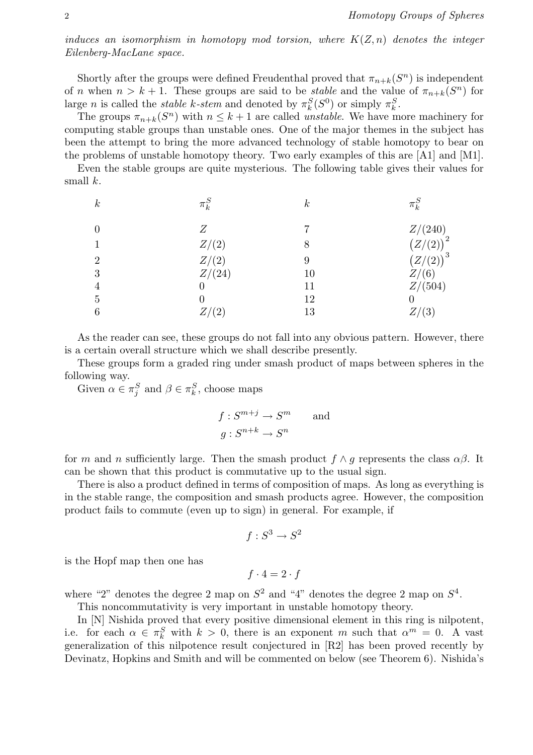induces an isomorphism in homotopy mod torsion, where  $K(Z, n)$  denotes the integer Eilenberg-MacLane space.

Shortly after the groups were defined Freudenthal proved that  $\pi_{n+k}(S^n)$  is independent of n when  $n > k + 1$ . These groups are said to be *stable* and the value of  $\pi_{n+k}(S^n)$  for large *n* is called the *stable k-stem* and denoted by  $\pi_k^S(S^0)$  or simply  $\pi_k^S$ .

The groups  $\pi_{n+k}(S^n)$  with  $n \leq k+1$  are called *unstable*. We have more machinery for computing stable groups than unstable ones. One of the major themes in the subject has been the attempt to bring the more advanced technology of stable homotopy to bear on the problems of unstable homotopy theory. Two early examples of this are [A1] and [M1].

Even the stable groups are quite mysterious. The following table gives their values for small  $k$ .

| $\boldsymbol{k}$ | $\pi^S_k$ | $\boldsymbol{k}$ | $\pi_k$       |
|------------------|-----------|------------------|---------------|
| $\theta$         | Ζ         |                  | Z/(240)       |
|                  | Z/(2)     | 8                | $(Z/(2))^{2}$ |
| $\overline{2}$   | Z/(2)     |                  | $(Z/(2))^3$   |
| 3                | Z/(24)    | 10               | Z/(6)         |
| 4                |           | 11               | Z/(504)       |
| 5                |           | 12               |               |
| 6                |           | 13               | (3)           |

As the reader can see, these groups do not fall into any obvious pattern. However, there is a certain overall structure which we shall describe presently.

These groups form a graded ring under smash product of maps between spheres in the following way.

Given  $\alpha \in \pi_j^S$  and  $\beta \in \pi_k^S$ , choose maps

$$
f: S^{m+j} \to S^m \quad \text{and} \quad g: S^{n+k} \to S^n
$$

for m and n sufficiently large. Then the smash product  $f \wedge q$  represents the class  $\alpha\beta$ . It can be shown that this product is commutative up to the usual sign.

There is also a product defined in terms of composition of maps. As long as everything is in the stable range, the composition and smash products agree. However, the composition product fails to commute (even up to sign) in general. For example, if

$$
f:S^3\to S^2
$$

is the Hopf map then one has

$$
f \cdot 4 = 2 \cdot f
$$

where "2" denotes the degree 2 map on  $S^2$  and "4" denotes the degree 2 map on  $S^4$ .

This noncommutativity is very important in unstable homotopy theory.

In [N] Nishida proved that every positive dimensional element in this ring is nilpotent, i.e. for each  $\alpha \in \pi_k^S$  with  $k > 0$ , there is an exponent m such that  $\alpha^m = 0$ . A vast generalization of this nilpotence result conjectured in [R2] has been proved recently by Devinatz, Hopkins and Smith and will be commented on below (see Theorem 6). Nishida's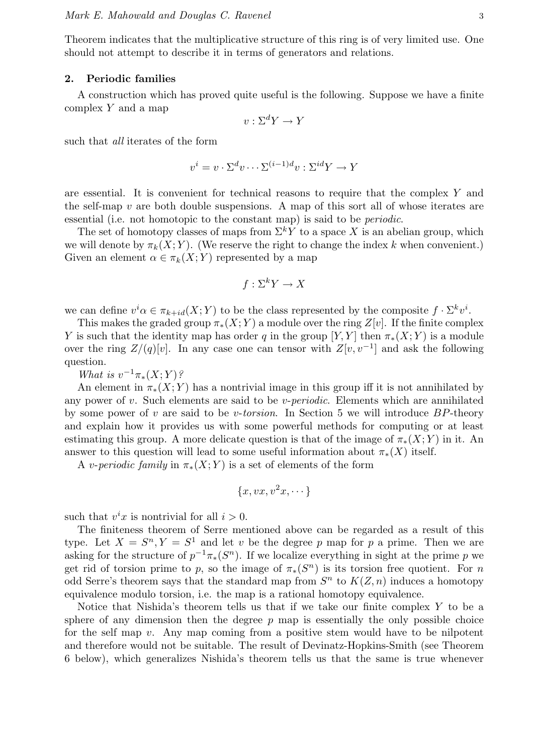Theorem indicates that the multiplicative structure of this ring is of very limited use. One should not attempt to describe it in terms of generators and relations.

#### 2. Periodic families

A construction which has proved quite useful is the following. Suppose we have a finite complex  $Y$  and a map

$$
v: \Sigma^d Y \to Y
$$

such that all iterates of the form

$$
v^{i} = v \cdot \Sigma^{d} v \cdots \Sigma^{(i-1)d} v : \Sigma^{id} Y \to Y
$$

are essential. It is convenient for technical reasons to require that the complex Y and the self-map  $v$  are both double suspensions. A map of this sort all of whose iterates are essential (i.e. not homotopic to the constant map) is said to be periodic.

The set of homotopy classes of maps from  $\Sigma^k Y$  to a space X is an abelian group, which we will denote by  $\pi_k(X; Y)$ . (We reserve the right to change the index k when convenient.) Given an element  $\alpha \in \pi_k(X;Y)$  represented by a map

$$
f: \Sigma^k Y \to X
$$

we can define  $v^i \alpha \in \pi_{k+id}(X;Y)$  to be the class represented by the composite  $f \cdot \Sigma^k v^i$ .

This makes the graded group  $\pi_*(X;Y)$  a module over the ring  $Z[v]$ . If the finite complex Y is such that the identity map has order q in the group [Y, Y] then  $\pi_*(X; Y)$  is a module over the ring  $Z/(q)[v]$ . In any case one can tensor with  $Z[v, v^{-1}]$  and ask the following question.

What is  $v^{-1}\pi_*(X;Y)$ ?

An element in  $\pi_*(X;Y)$  has a nontrivial image in this group iff it is not annihilated by any power of  $v$ . Such elements are said to be  $v$ -periodic. Elements which are annihilated by some power of v are said to be v-torsion. In Section 5 we will introduce  $BP$ -theory and explain how it provides us with some powerful methods for computing or at least estimating this group. A more delicate question is that of the image of  $\pi_*(X; Y)$  in it. An answer to this question will lead to some useful information about  $\pi_*(X)$  itself.

A *v-periodic family* in  $\pi_*(X;Y)$  is a set of elements of the form

$$
\{x, vx, v^2x, \dots\}
$$

such that  $v^i x$  is nontrivial for all  $i > 0$ .

The finiteness theorem of Serre mentioned above can be regarded as a result of this type. Let  $X = S^n, Y = S^1$  and let v be the degree p map for p a prime. Then we are asking for the structure of  $p^{-1}\pi_*(S^n)$ . If we localize everything in sight at the prime p we get rid of torsion prime to p, so the image of  $\pi_*(S^n)$  is its torsion free quotient. For n odd Serre's theorem says that the standard map from  $S<sup>n</sup>$  to  $K(Z, n)$  induces a homotopy equivalence modulo torsion, i.e. the map is a rational homotopy equivalence.

Notice that Nishida's theorem tells us that if we take our finite complex Y to be a sphere of any dimension then the degree  $p$  map is essentially the only possible choice for the self map  $v$ . Any map coming from a positive stem would have to be nilpotent and therefore would not be suitable. The result of Devinatz-Hopkins-Smith (see Theorem 6 below), which generalizes Nishida's theorem tells us that the same is true whenever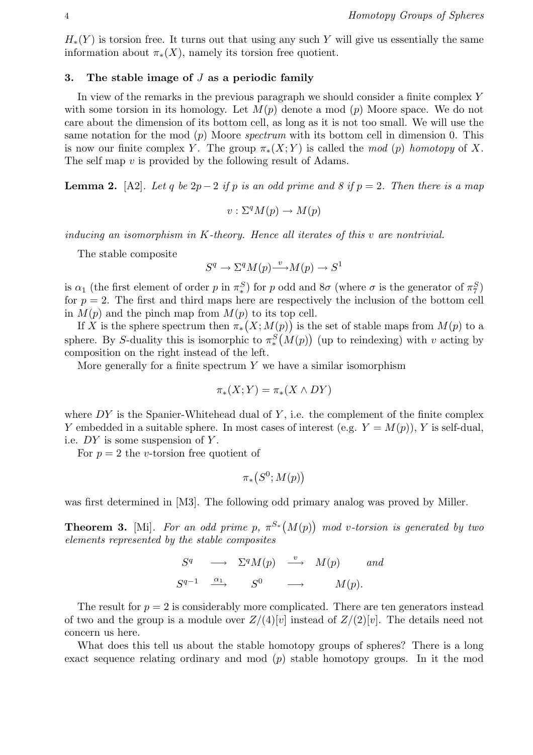$H_*(Y)$  is torsion free. It turns out that using any such Y will give us essentially the same information about  $\pi_*(X)$ , namely its torsion free quotient.

### 3. The stable image of  $J$  as a periodic family

In view of the remarks in the previous paragraph we should consider a finite complex Y with some torsion in its homology. Let  $M(p)$  denote a mod  $(p)$  Moore space. We do not care about the dimension of its bottom cell, as long as it is not too small. We will use the same notation for the mod  $(p)$  Moore *spectrum* with its bottom cell in dimension 0. This is now our finite complex Y. The group  $\pi_*(X;Y)$  is called the mod (p) homotopy of X. The self map v is provided by the following result of Adams.

**Lemma 2.** [A2]. Let q be  $2p-2$  if p is an odd prime and 8 if  $p = 2$ . Then there is a map

$$
v: \Sigma^q M(p) \to M(p)
$$

inducing an isomorphism in K-theory. Hence all iterates of this v are nontrivial.

The stable composite

$$
S^{q} \to \Sigma^{q} M(p) \xrightarrow{v} M(p) \to S^{1}
$$

is  $\alpha_1$  (the first element of order p in  $\pi_*^S$ ) for p odd and  $8\sigma$  (where  $\sigma$  is the generator of  $\pi_7^S$ ) for  $p = 2$ . The first and third maps here are respectively the inclusion of the bottom cell in  $M(p)$  and the pinch map from  $M(p)$  to its top cell.

If X is the sphere spectrum then  $\pi_*(X; M(p))$  is the set of stable maps from  $M(p)$  to a sphere. By S-duality this is isomorphic to  $\pi_*^S(M(p))$  (up to reindexing) with v acting by composition on the right instead of the left.

More generally for a finite spectrum  $Y$  we have a similar isomorphism

$$
\pi_*(X;Y) = \pi_*(X \wedge DY)
$$

where  $DY$  is the Spanier-Whitehead dual of  $Y$ , i.e. the complement of the finite complex Y embedded in a suitable sphere. In most cases of interest (e.g.  $Y = M(p)$ ), Y is self-dual, i.e. DY is some suspension of Y.

For  $p = 2$  the *v*-torsion free quotient of

$$
\pi_*(S^0; M(p))
$$

was first determined in [M3]. The following odd primary analog was proved by Miller.

**Theorem 3.** [Mi]. For an odd prime  $p, \pi^{S_*}$  (  $M(p)$ ¢ mod v-torsion is generated by two elements represented by the stable composites

$$
S^{q} \longrightarrow \Sigma^{q}M(p) \stackrel{v}{\longrightarrow} M(p) \quad and
$$
  

$$
S^{q-1} \stackrel{\alpha_1}{\longrightarrow} S^{0} \longrightarrow M(p).
$$

The result for  $p = 2$  is considerably more complicated. There are ten generators instead of two and the group is a module over  $Z/(4)[v]$  instead of  $Z/(2)[v]$ . The details need not concern us here.

What does this tell us about the stable homotopy groups of spheres? There is a long exact sequence relating ordinary and mod  $(p)$  stable homotopy groups. In it the mod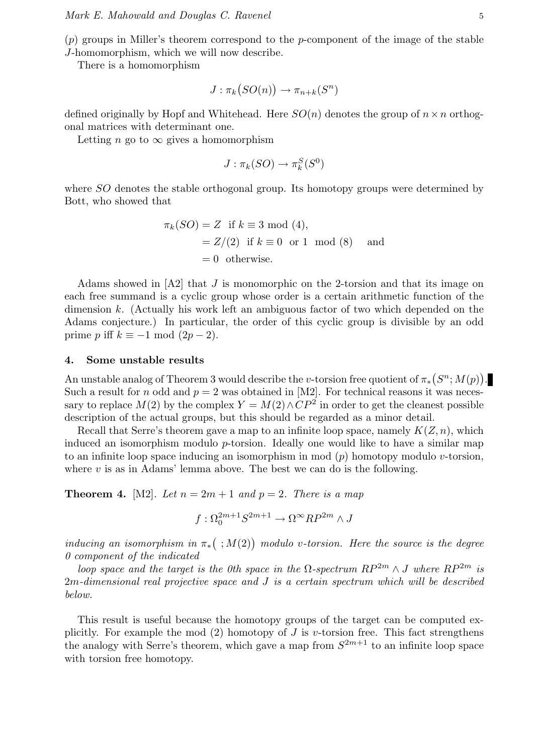$(p)$  groups in Miller's theorem correspond to the p-component of the image of the stable J-homomorphism, which we will now describe.

There is a homomorphism

$$
J: \pi_k(SO(n)) \to \pi_{n+k}(S^n)
$$

defined originally by Hopf and Whitehead. Here  $SO(n)$  denotes the group of  $n \times n$  orthogonal matrices with determinant one.

Letting *n* go to  $\infty$  gives a homomorphism

$$
J: \pi_k(SO) \to \pi_k^S(S^0)
$$

where SO denotes the stable orthogonal group. Its homotopy groups were determined by Bott, who showed that

$$
\pi_k(SO) = Z \text{ if } k \equiv 3 \mod (4),
$$
  
= Z/(2) if  $k \equiv 0 \text{ or } 1 \mod (8)$  and  
= 0 otherwise.

Adams showed in [A2] that J is monomorphic on the 2-torsion and that its image on each free summand is a cyclic group whose order is a certain arithmetic function of the dimension k. (Actually his work left an ambiguous factor of two which depended on the Adams conjecture.) In particular, the order of this cyclic group is divisible by an odd prime p iff  $k \equiv -1 \mod (2p-2)$ .

## 4. Some unstable results

An unstable analog of Theorem 3 would describe the v-torsion free quotient of  $\pi_*$ ¡  $S^n$ ;  $M(p)$ ¢ . Such a result for n odd and  $p = 2$  was obtained in [M2]. For technical reasons it was necessary to replace  $M(2)$  by the complex  $Y = M(2) \wedge CP^2$  in order to get the cleanest possible description of the actual groups, but this should be regarded as a minor detail.

Recall that Serre's theorem gave a map to an infinite loop space, namely  $K(Z, n)$ , which induced an isomorphism modulo  $p$ -torsion. Ideally one would like to have a similar map to an infinite loop space inducing an isomorphism in mod  $(p)$  homotopy modulo v-torsion, where  $v$  is as in Adams' lemma above. The best we can do is the following.

**Theorem 4.** [M2]. Let  $n = 2m + 1$  and  $p = 2$ . There is a map

$$
f:\Omega_0^{2m+1}S^{2m+1}\to\Omega^\infty RP^{2m}\wedge J
$$

inducing an isomorphism in  $\pi_*$  $( ; M(2) )$  modulo v-torsion. Here the source is the degree 0 component of the indicated

loop space and the target is the 0th space in the  $\Omega$ -spectrum  $RP^{2m} \wedge J$  where  $RP^{2m}$  is 2m-dimensional real projective space and J is a certain spectrum which will be described below.

This result is useful because the homotopy groups of the target can be computed explicitly. For example the mod  $(2)$  homotopy of J is v-torsion free. This fact strengthens the analogy with Serre's theorem, which gave a map from  $S^{2m+1}$  to an infinite loop space with torsion free homotopy.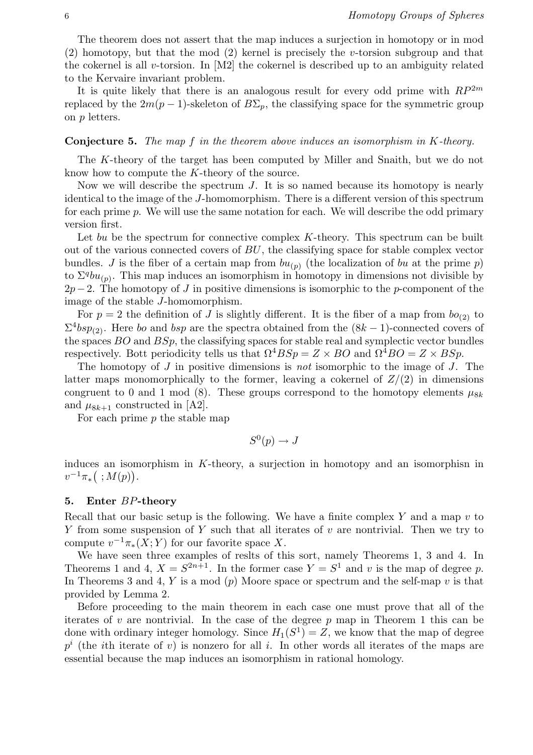The theorem does not assert that the map induces a surjection in homotopy or in mod (2) homotopy, but that the mod (2) kernel is precisely the v-torsion subgroup and that the cokernel is all v-torsion. In  $[M2]$  the cokernel is described up to an ambiguity related to the Kervaire invariant problem.

It is quite likely that there is an analogous result for every odd prime with  $RP^{2m}$ replaced by the  $2m(p-1)$ -skeleton of  $B\Sigma_p$ , the classifying space for the symmetric group on p letters.

#### **Conjecture 5.** The map f in the theorem above induces an isomorphism in  $K$ -theory.

The K-theory of the target has been computed by Miller and Snaith, but we do not know how to compute the K-theory of the source.

Now we will describe the spectrum J. It is so named because its homotopy is nearly identical to the image of the J-homomorphism. There is a different version of this spectrum for each prime p. We will use the same notation for each. We will describe the odd primary version first.

Let bu be the spectrum for connective complex  $K$ -theory. This spectrum can be built out of the various connected covers of BU, the classifying space for stable complex vector bundles. J is the fiber of a certain map from  $bu_{(p)}$  (the localization of bu at the prime p) to  $\Sigma^q bu_{(p)}$ . This map induces an isomorphism in homotopy in dimensions not divisible by  $2p-2$ . The homotopy of J in positive dimensions is isomorphic to the p-component of the image of the stable J-homomorphism.

For  $p = 2$  the definition of J is slightly different. It is the fiber of a map from  $bo_{(2)}$  to  $\Sigma^4 bsp_{(2)}$ . Here bo and bsp are the spectra obtained from the  $(8k-1)$ -connected covers of the spaces BO and BSp, the classifying spaces for stable real and symplectic vector bundles respectively. Bott periodicity tells us that  $\Omega^4 B S p = Z \times BO$  and  $\Omega^4 BO = Z \times B S p$ .

The homotopy of J in positive dimensions is not isomorphic to the image of J. The latter maps monomorphically to the former, leaving a cokernel of  $Z/(2)$  in dimensions congruent to 0 and 1 mod (8). These groups correspond to the homotopy elements  $\mu_{8k}$ and  $\mu_{8k+1}$  constructed in [A2].

For each prime  $p$  the stable map

$$
S^0(p) \to J
$$

induces an isomorphism in  $K$ -theory, a surjection in homotopy and an isomorphisn in  $v^{-1}\pi_*([;M(p)).$ 

### 5. Enter BP-theory

Recall that our basic setup is the following. We have a finite complex  $Y$  and a map  $v$  to Y from some suspension of Y such that all iterates of  $v$  are nontrivial. Then we try to compute  $v^{-1}\pi_*(X;Y)$  for our favorite space X.

We have seen three examples of reslts of this sort, namely Theorems 1, 3 and 4. In Theorems 1 and 4,  $X = S^{2n+1}$ . In the former case  $Y = S^1$  and v is the map of degree p. In Theorems 3 and 4, Y is a mod  $(p)$  Moore space or spectrum and the self-map v is that provided by Lemma 2.

Before proceeding to the main theorem in each case one must prove that all of the iterates of  $v$  are nontrivial. In the case of the degree  $p$  map in Theorem 1 this can be done with ordinary integer homology. Since  $H_1(S^1) = Z$ , we know that the map of degree  $p^i$  (the *i*th iterate of *v*) is nonzero for all *i*. In other words all iterates of the maps are essential because the map induces an isomorphism in rational homology.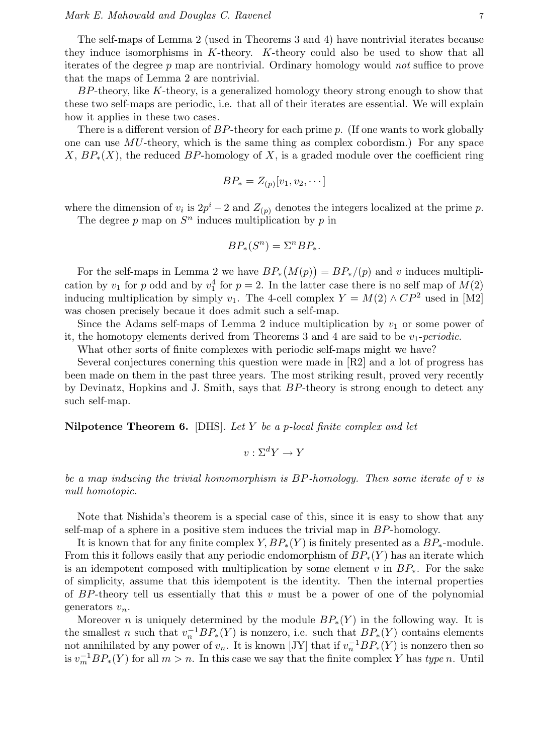The self-maps of Lemma 2 (used in Theorems 3 and 4) have nontrivial iterates because they induce isomorphisms in K-theory. K-theory could also be used to show that all iterates of the degree  $p$  map are nontrivial. Ordinary homology would *not* suffice to prove that the maps of Lemma 2 are nontrivial.

BP-theory, like K-theory, is a generalized homology theory strong enough to show that these two self-maps are periodic, i.e. that all of their iterates are essential. We will explain how it applies in these two cases.

There is a different version of  $BP$ -theory for each prime p. (If one wants to work globally one can use MU-theory, which is the same thing as complex cobordism.) For any space X,  $BP_*(X)$ , the reduced BP-homology of X, is a graded module over the coefficient ring

$$
BP_* = Z_{(p)}[v_1, v_2, \cdots]
$$

where the dimension of  $v_i$  is  $2p^i-2$  and  $Z_{(p)}$  denotes the integers localized at the prime p.

The degree p map on  $S<sup>n</sup>$  induces multiplication by p in

$$
BP_*(S^n) = \Sigma^n BP_*.
$$

For the self-maps in Lemma 2 we have  $BP_*$ ¡  $M(p)$ ¢  $= BP_*/(p)$  and v induces multiplication by  $v_1$  for p odd and by  $v_1^4$  for  $p=2$ . In the latter case there is no self map of  $M(2)$ inducing multiplication by simply  $v_1$ . The 4-cell complex  $Y = M(2) \wedge CP^2$  used in [M2] was chosen precisely becaue it does admit such a self-map.

Since the Adams self-maps of Lemma 2 induce multiplication by  $v_1$  or some power of it, the homotopy elements derived from Theorems 3 and 4 are said to be  $v_1$ -periodic.

What other sorts of finite complexes with periodic self-maps might we have?

Several conjectures conerning this question were made in [R2] and a lot of progress has been made on them in the past three years. The most striking result, proved very recently by Devinatz, Hopkins and J. Smith, says that BP-theory is strong enough to detect any such self-map.

Nilpotence Theorem 6. [DHS]. Let Y be a p-local finite complex and let

$$
v: \Sigma^d Y \to Y
$$

be a map inducing the trivial homomorphism is  $BP$ -homology. Then some iterate of v is null homotopic.

Note that Nishida's theorem is a special case of this, since it is easy to show that any self-map of a sphere in a positive stem induces the trivial map in BP-homology.

It is known that for any finite complex  $Y, BP_*(Y)$  is finitely presented as a  $BP_*$ -module. From this it follows easily that any periodic endomorphism of  $BP_*(Y)$  has an iterate which is an idempotent composed with multiplication by some element v in  $BP_*$ . For the sake of simplicity, assume that this idempotent is the identity. Then the internal properties of BP-theory tell us essentially that this v must be a power of one of the polynomial generators  $v_n$ .

Moreover *n* is uniquely determined by the module  $BP_*(Y)$  in the following way. It is the smallest n such that  $v_n^{-1}BP_*(Y)$  is nonzero, i.e. such that  $BP_*(Y)$  contains elements not annihilated by any power of  $v_n$ . It is known [JY] that if  $v_n^{-1}BP_*(Y)$  is nonzero then so is  $v_m^{-1}BP_*(Y)$  for all  $m > n$ . In this case we say that the finite complex Y has type n. Until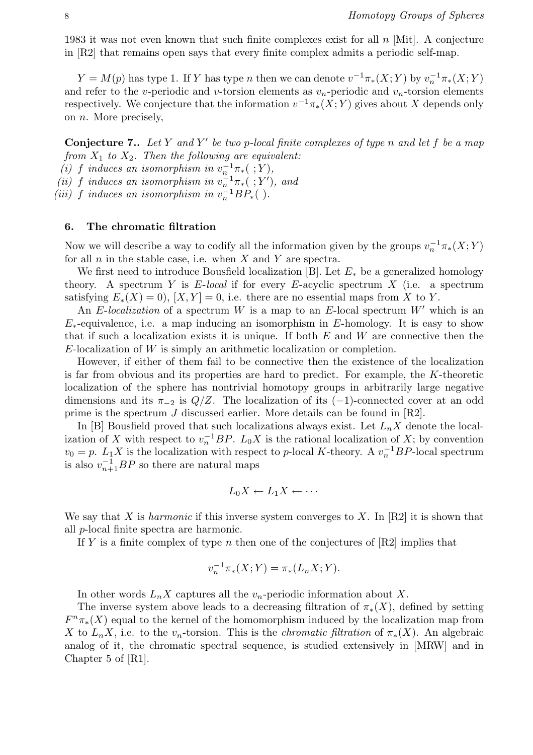1983 it was not even known that such finite complexes exist for all  $n$  [Mit]. A conjecture in [R2] that remains open says that every finite complex admits a periodic self-map.

 $Y = M(p)$  has type 1. If Y has type n then we can denote  $v^{-1}\pi_*(X;Y)$  by  $v_n^{-1}\pi_*(X;Y)$ and refer to the v-periodic and v-torsion elements as  $v_n$ -periodic and  $v_n$ -torsion elements respectively. We conjecture that the information  $v^{-1}\pi_*(X;Y)$  gives about X depends only on n. More precisely,

**Conjecture 7..** Let Y and Y' be two p-local finite complexes of type n and let f be a map from  $X_1$  to  $X_2$ . Then the following are equivalent:

(i) f induces an isomorphism in  $v_n^{-1}\pi_*$  (; Y),

(ii) f induces an isomorphism in  $v_n^{-1}\pi_*(\;;Y')$ , and

(iii) f induces an isomorphism in  $v_n^{-1}BP_*($ ).

### 6. The chromatic filtration

Now we will describe a way to codify all the information given by the groups  $v_n^{-1}\pi_*(X;Y)$ for all  $n$  in the stable case, i.e. when  $X$  and  $Y$  are spectra.

We first need to introduce Bousfield localization [B]. Let  $E_*$  be a generalized homology theory. A spectrum Y is  $E$ -local if for every  $E$ -acyclic spectrum X (i.e. a spectrum satisfying  $E_*(X) = 0$ ,  $[X, Y] = 0$ , i.e. there are no essential maps from X to Y.

An E-localization of a spectrum W is a map to an E-local spectrum  $W'$  which is an  $E_*$ -equivalence, i.e. a map inducing an isomorphism in E-homology. It is easy to show that if such a localization exists it is unique. If both  $E$  and  $W$  are connective then the  $E$ -localization of  $W$  is simply an arithmetic localization or completion.

However, if either of them fail to be connective then the existence of the localization is far from obvious and its properties are hard to predict. For example, the K-theoretic localization of the sphere has nontrivial homotopy groups in arbitrarily large negative dimensions and its  $\pi_{-2}$  is  $Q/Z$ . The localization of its  $(-1)$ -connected cover at an odd prime is the spectrum J discussed earlier. More details can be found in [R2].

In [B] Bousfield proved that such localizations always exist. Let  $L_nX$  denote the localization of X with respect to  $v_n^{-1}BP$ .  $L_0X$  is the rational localization of X; by convention  $v_0 = p$ .  $L_1 X$  is the localization with respect to p-local K-theory. A  $v_n^{-1}BP$ -local spectrum is also  $v_{n+1}^{-1}BP$  so there are natural maps

$$
L_0X \leftarrow L_1X \leftarrow \cdots
$$

We say that X is *harmonic* if this inverse system converges to X. In [R2] it is shown that all p-local finite spectra are harmonic.

If Y is a finite complex of type n then one of the conjectures of  $[R2]$  implies that

$$
v_n^{-1}\pi_*(X;Y) = \pi_*(L_nX;Y).
$$

In other words  $L_nX$  captures all the  $v_n$ -periodic information about X.

The inverse system above leads to a decreasing filtration of  $\pi_*(X)$ , defined by setting  $F^n\pi_*(X)$  equal to the kernel of the homomorphism induced by the localization map from X to  $L_nX$ , i.e. to the v<sub>n</sub>-torsion. This is the *chromatic filtration* of  $\pi_*(X)$ . An algebraic analog of it, the chromatic spectral sequence, is studied extensively in [MRW] and in Chapter 5 of [R1].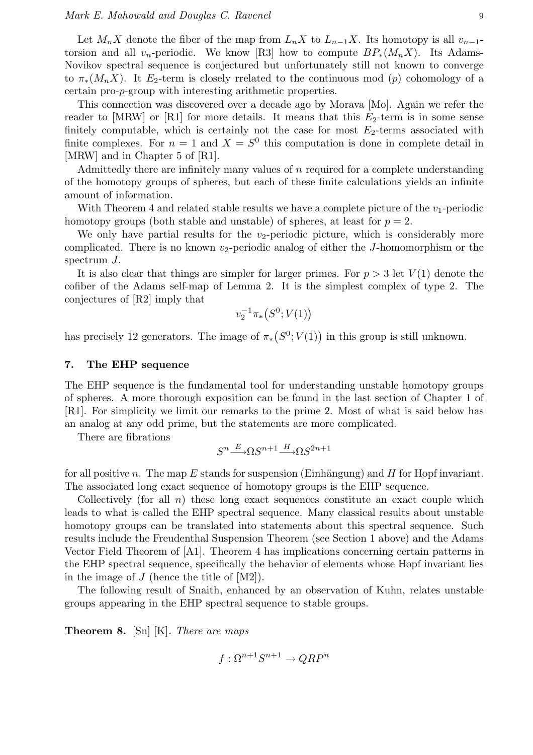Let  $M_nX$  denote the fiber of the map from  $L_nX$  to  $L_{n-1}X$ . Its homotopy is all  $v_{n-1}$ torsion and all v<sub>n</sub>-periodic. We know [R3] how to compute  $BP_*(M_nX)$ . Its Adams-Novikov spectral sequence is conjectured but unfortunately still not known to converge to  $\pi_*(M_nX)$ . It  $E_2$ -term is closely rrelated to the continuous mod (p) cohomology of a certain pro-p-group with interesting arithmetic properties.

This connection was discovered over a decade ago by Morava [Mo]. Again we refer the reader to [MRW] or [R1] for more details. It means that this  $E_2$ -term is in some sense finitely computable, which is certainly not the case for most  $E_2$ -terms associated with finite complexes. For  $n = 1$  and  $X = S^0$  this computation is done in complete detail in [MRW] and in Chapter 5 of [R1].

Admittedly there are infinitely many values of n required for a complete understanding of the homotopy groups of spheres, but each of these finite calculations yields an infinite amount of information.

With Theorem 4 and related stable results we have a complete picture of the  $v_1$ -periodic homotopy groups (both stable and unstable) of spheres, at least for  $p = 2$ .

We only have partial results for the  $v_2$ -periodic picture, which is considerably more complicated. There is no known  $v_2$ -periodic analog of either the J-homomorphism or the spectrum J.

It is also clear that things are simpler for larger primes. For  $p > 3$  let  $V(1)$  denote the cofiber of the Adams self-map of Lemma 2. It is the simplest complex of type 2. The conjectures of [R2] imply that ¡

$$
v_2^{-1}\pi_*\big(S^0;V(1)\big)
$$

has precisely 12 generators. The image of  $\pi_*$ ¡  $S^0$ ;  $V(1)$  in this group is still unknown.

#### 7. The EHP sequence

The EHP sequence is the fundamental tool for understanding unstable homotopy groups of spheres. A more thorough exposition can be found in the last section of Chapter 1 of [R1]. For simplicity we limit our remarks to the prime 2. Most of what is said below has an analog at any odd prime, but the statements are more complicated.

There are fibrations

$$
S^n {\stackrel{E}{\longrightarrow}} \Omega S^{n+1} {\stackrel{H}{\longrightarrow}} \Omega S^{2n+1}
$$

for all positive n. The map E stands for suspension (Einhängung) and H for Hopf invariant. The associated long exact sequence of homotopy groups is the EHP sequence.

Collectively (for all  $n$ ) these long exact sequences constitute an exact couple which leads to what is called the EHP spectral sequence. Many classical results about unstable homotopy groups can be translated into statements about this spectral sequence. Such results include the Freudenthal Suspension Theorem (see Section 1 above) and the Adams Vector Field Theorem of [A1]. Theorem 4 has implications concerning certain patterns in the EHP spectral sequence, specifically the behavior of elements whose Hopf invariant lies in the image of  $J$  (hence the title of  $[M2]$ ).

The following result of Snaith, enhanced by an observation of Kuhn, relates unstable groups appearing in the EHP spectral sequence to stable groups.

**Theorem 8.** [Sn]  $[K]$ . There are maps

$$
f: \Omega^{n+1}S^{n+1} \to QRP^n
$$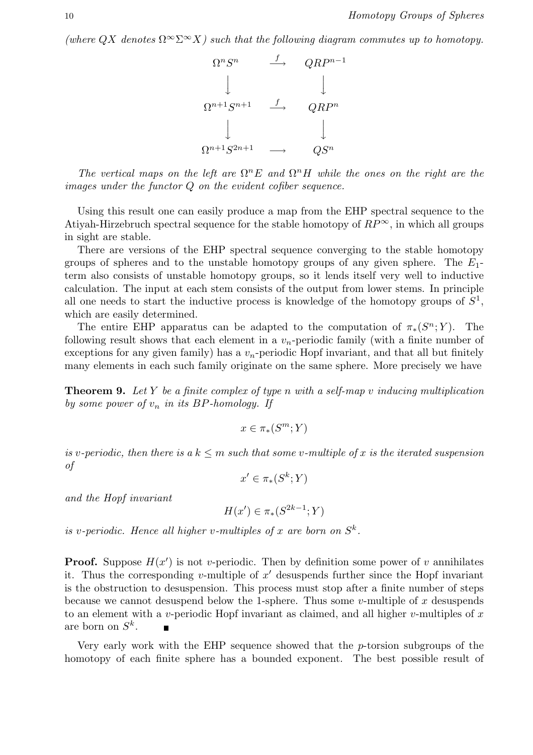(where  $QX$  denotes  $\Omega^{\infty} \Sigma^{\infty} X$ ) such that the following diagram commutes up to homotopy.



The vertical maps on the left are  $\Omega^n E$  and  $\Omega^n H$  while the ones on the right are the images under the functor Q on the evident cofiber sequence.

Using this result one can easily produce a map from the EHP spectral sequence to the Atiyah-Hirzebruch spectral sequence for the stable homotopy of  $RP^{\infty}$ , in which all groups in sight are stable.

There are versions of the EHP spectral sequence converging to the stable homotopy groups of spheres and to the unstable homotopy groups of any given sphere. The  $E_1$ term also consists of unstable homotopy groups, so it lends itself very well to inductive calculation. The input at each stem consists of the output from lower stems. In principle all one needs to start the inductive process is knowledge of the homotopy groups of  $S^1$ , which are easily determined.

The entire EHP apparatus can be adapted to the computation of  $\pi_*(S^n; Y)$ . The following result shows that each element in a  $v_n$ -periodic family (with a finite number of exceptions for any given family) has a  $v_n$ -periodic Hopf invariant, and that all but finitely many elements in each such family originate on the same sphere. More precisely we have

**Theorem 9.** Let Y be a finite complex of type n with a self-map v inducing multiplication by some power of  $v_n$  in its BP-homology. If

$$
x \in \pi_*(S^m;Y)
$$

is v-periodic, then there is a  $k \leq m$  such that some v-multiple of x is the iterated suspension of

$$
x' \in \pi_*(S^k; Y)
$$

and the Hopf invariant

$$
H(x') \in \pi_*(S^{2k-1}; Y)
$$

is v-periodic. Hence all higher v-multiples of x are born on  $S^k$ .

**Proof.** Suppose  $H(x')$  is not v-periodic. Then by definition some power of v annihilates it. Thus the corresponding v-multiple of  $x'$  desuspends further since the Hopf invariant is the obstruction to desuspension. This process must stop after a finite number of steps because we cannot desuspend below the 1-sphere. Thus some v-multiple of x desuspends to an element with a v-periodic Hopf invariant as claimed, and all higher v-multiples of  $x$ are born on  $S^k$ .  $\blacksquare$ 

Very early work with the EHP sequence showed that the p-torsion subgroups of the homotopy of each finite sphere has a bounded exponent. The best possible result of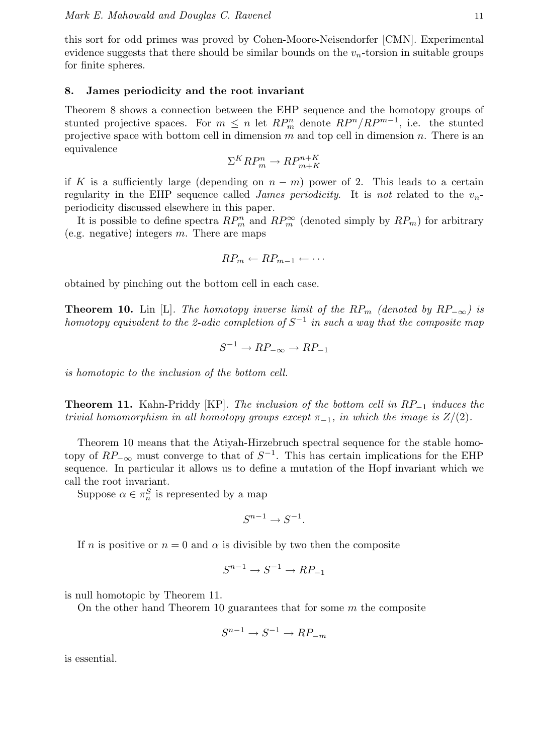this sort for odd primes was proved by Cohen-Moore-Neisendorfer [CMN]. Experimental evidence suggests that there should be similar bounds on the  $v_n$ -torsion in suitable groups for finite spheres.

#### 8. James periodicity and the root invariant

Theorem 8 shows a connection between the EHP sequence and the homotopy groups of stunted projective spaces. For  $m \leq n$  let  $RP_m^n$  denote  $RP^n/RP^{m-1}$ , i.e. the stunted projective space with bottom cell in dimension  $m$  and top cell in dimension  $n$ . There is an equivalence

$$
\Sigma^K R P_m^n \to R P_{m+K}^{n+K}
$$

if K is a sufficiently large (depending on  $n - m$ ) power of 2. This leads to a certain regularity in the EHP sequence called *James periodicity*. It is not related to the  $v_n$ periodicity discussed elsewhere in this paper.

It is possible to define spectra  $RP_m^n$  and  $RP_m^{\infty}$  (denoted simply by  $RP_m$ ) for arbitrary (e.g. negative) integers  $m$ . There are maps

$$
RP_m \leftarrow RP_{m-1} \leftarrow \cdots
$$

obtained by pinching out the bottom cell in each case.

**Theorem 10.** Lin [L]. The homotopy inverse limit of the RP<sub>m</sub> (denoted by RP<sub>-∞</sub>) is homotopy equivalent to the 2-adic completion of  $S^{-1}$  in such a way that the composite map

$$
S^{-1} \to RP_{-\infty} \to RP_{-1}
$$

is homotopic to the inclusion of the bottom cell.

**Theorem 11.** Kahn-Priddy [KP]. The inclusion of the bottom cell in  $RP_{-1}$  induces the trivial homomorphism in all homotopy groups except  $\pi_{-1}$ , in which the image is  $Z/(2)$ .

Theorem 10 means that the Atiyah-Hirzebruch spectral sequence for the stable homotopy of  $RP_{-\infty}$  must converge to that of  $S^{-1}$ . This has certain implications for the EHP sequence. In particular it allows us to define a mutation of the Hopf invariant which we call the root invariant.

Suppose  $\alpha \in \pi_n^S$  is represented by a map

$$
S^{n-1} \to S^{-1}.
$$

If n is positive or  $n = 0$  and  $\alpha$  is divisible by two then the composite

$$
S^{n-1} \to S^{-1} \to RP_{-1}
$$

is null homotopic by Theorem 11.

On the other hand Theorem 10 guarantees that for some  $m$  the composite

$$
S^{n-1} \to S^{-1} \to RP_{-m}
$$

is essential.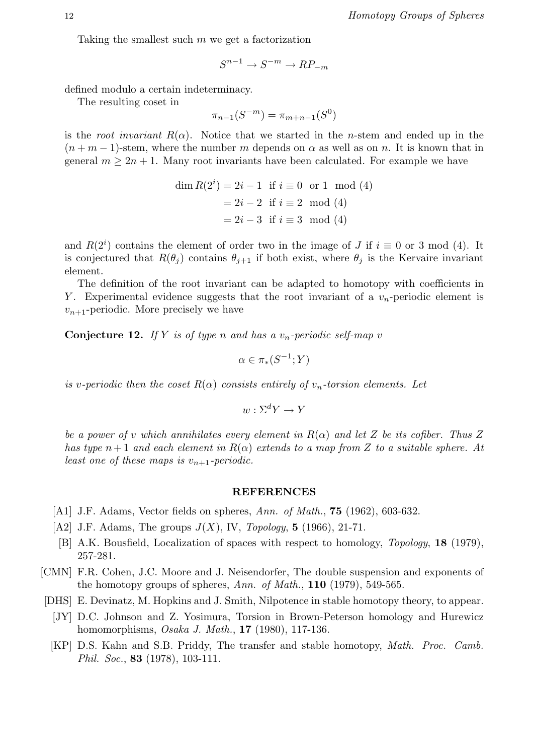Taking the smallest such  $m$  we get a factorization

$$
S^{n-1} \to S^{-m} \to RP_{-m}
$$

defined modulo a certain indeterminacy.

The resulting coset in

$$
\pi_{n-1}(S^{-m}) = \pi_{m+n-1}(S^0)
$$

is the root invariant  $R(\alpha)$ . Notice that we started in the n-stem and ended up in the  $(n+m-1)$ -stem, where the number m depends on  $\alpha$  as well as on n. It is known that in general  $m \geq 2n + 1$ . Many root invariants have been calculated. For example we have

$$
\dim R(2^i) = 2i - 1 \text{ if } i \equiv 0 \text{ or } 1 \mod (4)
$$

$$
= 2i - 2 \text{ if } i \equiv 2 \mod (4)
$$

$$
= 2i - 3 \text{ if } i \equiv 3 \mod (4)
$$

and  $R(2<sup>i</sup>)$  contains the element of order two in the image of J if  $i \equiv 0$  or 3 mod (4). It is conjectured that  $R(\theta_i)$  contains  $\theta_{i+1}$  if both exist, where  $\theta_i$  is the Kervaire invariant element.

The definition of the root invariant can be adapted to homotopy with coefficients in Y. Experimental evidence suggests that the root invariant of a  $v_n$ -periodic element is  $v_{n+1}$ -periodic. More precisely we have

**Conjecture 12.** If Y is of type n and has a  $v_n$ -periodic self-map v

$$
\alpha \in \pi_*(S^{-1};Y)
$$

is v-periodic then the coset  $R(\alpha)$  consists entirely of  $v_n$ -torsion elements. Let

$$
w: \Sigma^d Y \to Y
$$

be a power of v which annihilates every element in  $R(\alpha)$  and let Z be its cofiber. Thus Z has type  $n+1$  and each element in  $R(\alpha)$  extends to a map from Z to a suitable sphere. At least one of these maps is  $v_{n+1}$ -periodic.

#### REFERENCES

- [A1] J.F. Adams, Vector fields on spheres, Ann. of Math., **75** (1962), 603-632.
- [A2] J.F. Adams, The groups  $J(X)$ , IV, Topology, 5 (1966), 21-71.
- [B] A.K. Bousfield, Localization of spaces with respect to homology, Topology, 18 (1979), 257-281.
- [CMN] F.R. Cohen, J.C. Moore and J. Neisendorfer, The double suspension and exponents of the homotopy groups of spheres, Ann. of Math., 110 (1979), 549-565.
- [DHS] E. Devinatz, M. Hopkins and J. Smith, Nilpotence in stable homotopy theory, to appear.
	- [JY] D.C. Johnson and Z. Yosimura, Torsion in Brown-Peterson homology and Hurewicz homomorphisms, *Osaka J. Math.*, **17** (1980), 117-136.
	- [KP] D.S. Kahn and S.B. Priddy, The transfer and stable homotopy, Math. Proc. Camb. Phil. Soc., 83 (1978), 103-111.